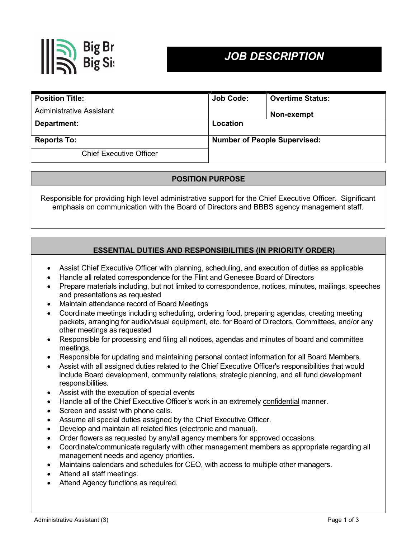

# JOB DESCRIPTION

| <b>Position Title:</b>         | Job Code:                           | <b>Overtime Status:</b> |
|--------------------------------|-------------------------------------|-------------------------|
| Administrative Assistant       |                                     | Non-exempt              |
| Department:                    | Location                            |                         |
| <b>Reports To:</b>             | <b>Number of People Supervised:</b> |                         |
| <b>Chief Executive Officer</b> |                                     |                         |

# POSITION PURPOSE

Responsible for providing high level administrative support for the Chief Executive Officer. Significant emphasis on communication with the Board of Directors and BBBS agency management staff.

# ESSENTIAL DUTIES AND RESPONSIBILITIES (IN PRIORITY ORDER)

- Assist Chief Executive Officer with planning, scheduling, and execution of duties as applicable
- Handle all related correspondence for the Flint and Genesee Board of Directors
- Prepare materials including, but not limited to correspondence, notices, minutes, mailings, speeches and presentations as requested
- Maintain attendance record of Board Meetings
- Coordinate meetings including scheduling, ordering food, preparing agendas, creating meeting packets, arranging for audio/visual equipment, etc. for Board of Directors, Committees, and/or any other meetings as requested
- Responsible for processing and filing all notices, agendas and minutes of board and committee meetings.
- Responsible for updating and maintaining personal contact information for all Board Members.
- Assist with all assigned duties related to the Chief Executive Officer's responsibilities that would include Board development, community relations, strategic planning, and all fund development responsibilities.
- Assist with the execution of special events
- Handle all of the Chief Executive Officer's work in an extremely confidential manner.
- Screen and assist with phone calls.
- Assume all special duties assigned by the Chief Executive Officer.
- Develop and maintain all related files (electronic and manual).
- Order flowers as requested by any/all agency members for approved occasions.
- Coordinate/communicate regularly with other management members as appropriate regarding all management needs and agency priorities.
- Maintains calendars and schedules for CEO, with access to multiple other managers.
- Attend all staff meetings.
- Attend Agency functions as required.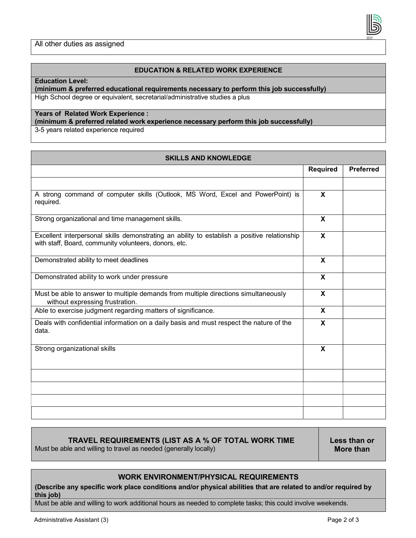#### EDUCATION & RELATED WORK EXPERIENCE

#### Education Level:

(minimum & preferred educational requirements necessary to perform this job successfully) High School degree or equivalent, secretarial/administrative studies a plus

## Years of Related Work Experience :

(minimum & preferred related work experience necessary perform this job successfully)

3-5 years related experience required

| <b>SKILLS AND KNOWLEDGE</b>                                                                                                                           |                           |                  |  |  |
|-------------------------------------------------------------------------------------------------------------------------------------------------------|---------------------------|------------------|--|--|
|                                                                                                                                                       | Required                  | <b>Preferred</b> |  |  |
|                                                                                                                                                       |                           |                  |  |  |
| A strong command of computer skills (Outlook, MS Word, Excel and PowerPoint) is<br>required.                                                          | X                         |                  |  |  |
| Strong organizational and time management skills.                                                                                                     | $\boldsymbol{\mathsf{X}}$ |                  |  |  |
| Excellent interpersonal skills demonstrating an ability to establish a positive relationship<br>with staff, Board, community volunteers, donors, etc. | $\mathbf{x}$              |                  |  |  |
| Demonstrated ability to meet deadlines                                                                                                                | X                         |                  |  |  |
| Demonstrated ability to work under pressure                                                                                                           | X                         |                  |  |  |
| Must be able to answer to multiple demands from multiple directions simultaneously<br>without expressing frustration.                                 | X                         |                  |  |  |
| Able to exercise judgment regarding matters of significance.                                                                                          | $\mathbf{x}$              |                  |  |  |
| Deals with confidential information on a daily basis and must respect the nature of the<br>data.                                                      | X                         |                  |  |  |
| Strong organizational skills                                                                                                                          | X                         |                  |  |  |
|                                                                                                                                                       |                           |                  |  |  |
|                                                                                                                                                       |                           |                  |  |  |
|                                                                                                                                                       |                           |                  |  |  |
|                                                                                                                                                       |                           |                  |  |  |

## TRAVEL REQUIREMENTS (LIST AS A % OF TOTAL WORK TIME

Must be able and willing to travel as needed (generally locally)

Less than or More than

### WORK ENVIRONMENT/PHYSICAL REQUIREMENTS

(Describe any specific work place conditions and/or physical abilities that are related to and/or required by this job)

Must be able and willing to work additional hours as needed to complete tasks; this could involve weekends.